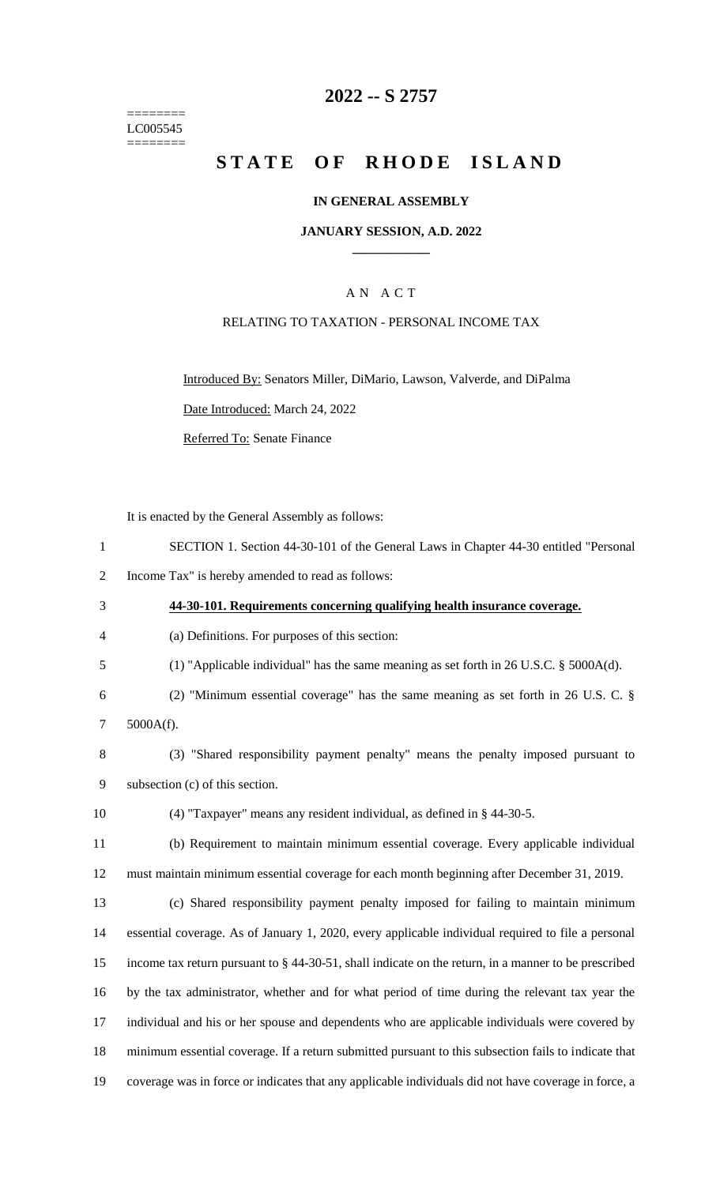======== LC005545 ========

### **-- S 2757**

# **STATE OF RHODE ISLAND**

#### **IN GENERAL ASSEMBLY**

#### **JANUARY SESSION, A.D. 2022 \_\_\_\_\_\_\_\_\_\_\_\_**

### A N A C T

#### RELATING TO TAXATION - PERSONAL INCOME TAX

Introduced By: Senators Miller, DiMario, Lawson, Valverde, and DiPalma Date Introduced: March 24, 2022

Referred To: Senate Finance

It is enacted by the General Assembly as follows:

- SECTION 1. Section 44-30-101 of the General Laws in Chapter 44-30 entitled "Personal
- Income Tax" is hereby amended to read as follows:
- **44-30-101. Requirements concerning qualifying health insurance coverage.**
- (a) Definitions. For purposes of this section:
- (1) "Applicable individual" has the same meaning as set forth in 26 U.S.C. § 5000A(d).
- (2) "Minimum essential coverage" has the same meaning as set forth in 26 U.S. C. §
- 5000A(f).
- (3) "Shared responsibility payment penalty" means the penalty imposed pursuant to subsection (c) of this section.
- (4) "Taxpayer" means any resident individual, as defined in § 44-30-5.
- (b) Requirement to maintain minimum essential coverage. Every applicable individual must maintain minimum essential coverage for each month beginning after December 31, 2019.

 (c) Shared responsibility payment penalty imposed for failing to maintain minimum essential coverage. As of January 1, 2020, every applicable individual required to file a personal income tax return pursuant to § 44-30-51, shall indicate on the return, in a manner to be prescribed by the tax administrator, whether and for what period of time during the relevant tax year the individual and his or her spouse and dependents who are applicable individuals were covered by minimum essential coverage. If a return submitted pursuant to this subsection fails to indicate that coverage was in force or indicates that any applicable individuals did not have coverage in force, a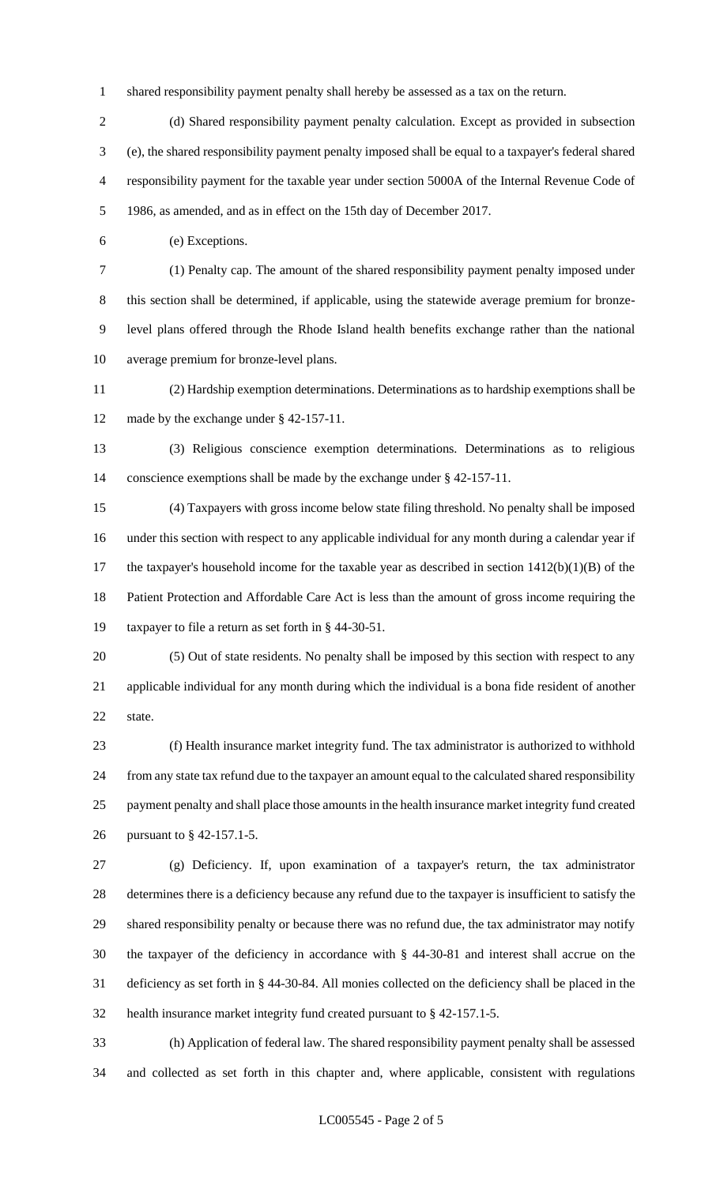shared responsibility payment penalty shall hereby be assessed as a tax on the return.

2 (d) Shared responsibility payment penalty calculation. Except as provided in subsection (e), the shared responsibility payment penalty imposed shall be equal to a taxpayer's federal shared responsibility payment for the taxable year under section 5000A of the Internal Revenue Code of 1986, as amended, and as in effect on the 15th day of December 2017.

(e) Exceptions.

 (1) Penalty cap. The amount of the shared responsibility payment penalty imposed under this section shall be determined, if applicable, using the statewide average premium for bronze- level plans offered through the Rhode Island health benefits exchange rather than the national average premium for bronze-level plans.

 (2) Hardship exemption determinations. Determinations as to hardship exemptions shall be made by the exchange under § 42-157-11.

 (3) Religious conscience exemption determinations. Determinations as to religious conscience exemptions shall be made by the exchange under § 42-157-11.

 (4) Taxpayers with gross income below state filing threshold. No penalty shall be imposed under this section with respect to any applicable individual for any month during a calendar year if the taxpayer's household income for the taxable year as described in section 1412(b)(1)(B) of the Patient Protection and Affordable Care Act is less than the amount of gross income requiring the taxpayer to file a return as set forth in § 44-30-51.

 (5) Out of state residents. No penalty shall be imposed by this section with respect to any applicable individual for any month during which the individual is a bona fide resident of another state.

 (f) Health insurance market integrity fund. The tax administrator is authorized to withhold from any state tax refund due to the taxpayer an amount equal to the calculated shared responsibility payment penalty and shall place those amounts in the health insurance market integrity fund created pursuant to § 42-157.1-5.

 (g) Deficiency. If, upon examination of a taxpayer's return, the tax administrator determines there is a deficiency because any refund due to the taxpayer is insufficient to satisfy the shared responsibility penalty or because there was no refund due, the tax administrator may notify the taxpayer of the deficiency in accordance with § 44-30-81 and interest shall accrue on the deficiency as set forth in § 44-30-84. All monies collected on the deficiency shall be placed in the health insurance market integrity fund created pursuant to § 42-157.1-5.

 (h) Application of federal law. The shared responsibility payment penalty shall be assessed and collected as set forth in this chapter and, where applicable, consistent with regulations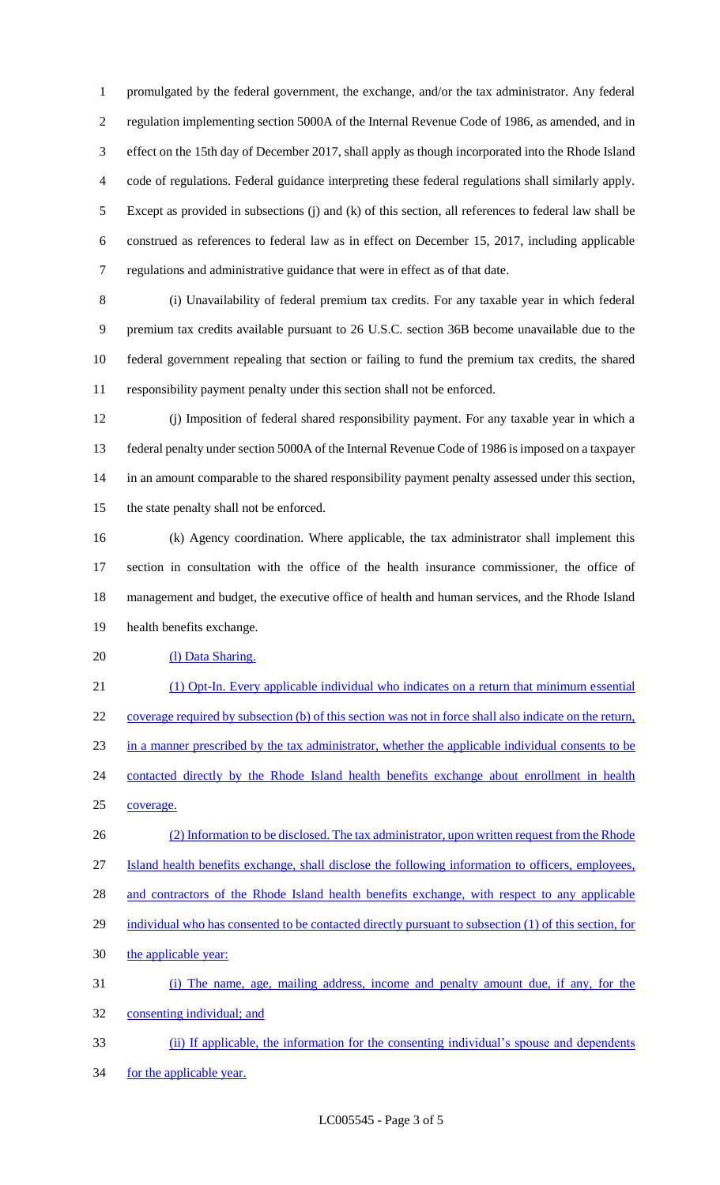promulgated by the federal government, the exchange, and/or the tax administrator. Any federal regulation implementing section 5000A of the Internal Revenue Code of 1986, as amended, and in effect on the 15th day of December 2017, shall apply as though incorporated into the Rhode Island code of regulations. Federal guidance interpreting these federal regulations shall similarly apply. Except as provided in subsections (j) and (k) of this section, all references to federal law shall be construed as references to federal law as in effect on December 15, 2017, including applicable regulations and administrative guidance that were in effect as of that date.

 (i) Unavailability of federal premium tax credits. For any taxable year in which federal premium tax credits available pursuant to 26 U.S.C. section 36B become unavailable due to the federal government repealing that section or failing to fund the premium tax credits, the shared responsibility payment penalty under this section shall not be enforced.

 (j) Imposition of federal shared responsibility payment. For any taxable year in which a federal penalty under section 5000A of the Internal Revenue Code of 1986 is imposed on a taxpayer in an amount comparable to the shared responsibility payment penalty assessed under this section, the state penalty shall not be enforced.

 (k) Agency coordination. Where applicable, the tax administrator shall implement this section in consultation with the office of the health insurance commissioner, the office of management and budget, the executive office of health and human services, and the Rhode Island health benefits exchange.

20 (1) Data Sharing.

 (1) Opt-In. Every applicable individual who indicates on a return that minimum essential coverage required by subsection (b) of this section was not in force shall also indicate on the return, in a manner prescribed by the tax administrator, whether the applicable individual consents to be 24 contacted directly by the Rhode Island health benefits exchange about enrollment in health coverage.

26 (2) Information to be disclosed. The tax administrator, upon written request from the Rhode Island health benefits exchange, shall disclose the following information to officers, employees, 28 and contractors of the Rhode Island health benefits exchange, with respect to any applicable individual who has consented to be contacted directly pursuant to subsection (1) of this section, for the applicable year: (i) The name, age, mailing address, income and penalty amount due, if any, for the

consenting individual; and

 (ii) If applicable, the information for the consenting individual's spouse and dependents 34 for the applicable year.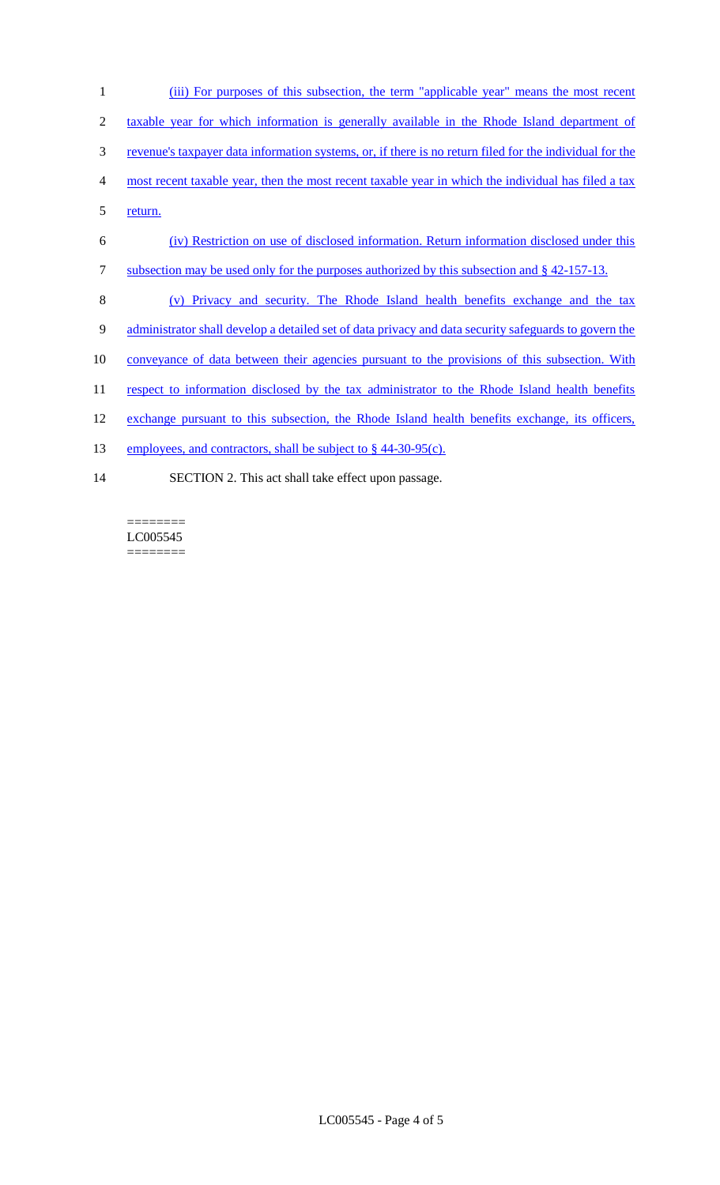- 1 (iii) For purposes of this subsection, the term "applicable year" means the most recent 2 taxable year for which information is generally available in the Rhode Island department of 3 revenue's taxpayer data information systems, or, if there is no return filed for the individual for the 4 most recent taxable year, then the most recent taxable year in which the individual has filed a tax 5 <u>return.</u> 6 (iv) Restriction on use of disclosed information. Return information disclosed under this 7 subsection may be used only for the purposes authorized by this subsection and § 42-157-13. 8 (v) Privacy and security. The Rhode Island health benefits exchange and the tax 9 administrator shall develop a detailed set of data privacy and data security safeguards to govern the 10 conveyance of data between their agencies pursuant to the provisions of this subsection. With 11 respect to information disclosed by the tax administrator to the Rhode Island health benefits
- 12 exchange pursuant to this subsection, the Rhode Island health benefits exchange, its officers,
- 13 employees, and contractors, shall be subject to § 44-30-95(c).
- 14 SECTION 2. This act shall take effect upon passage.

======== LC005545 ========